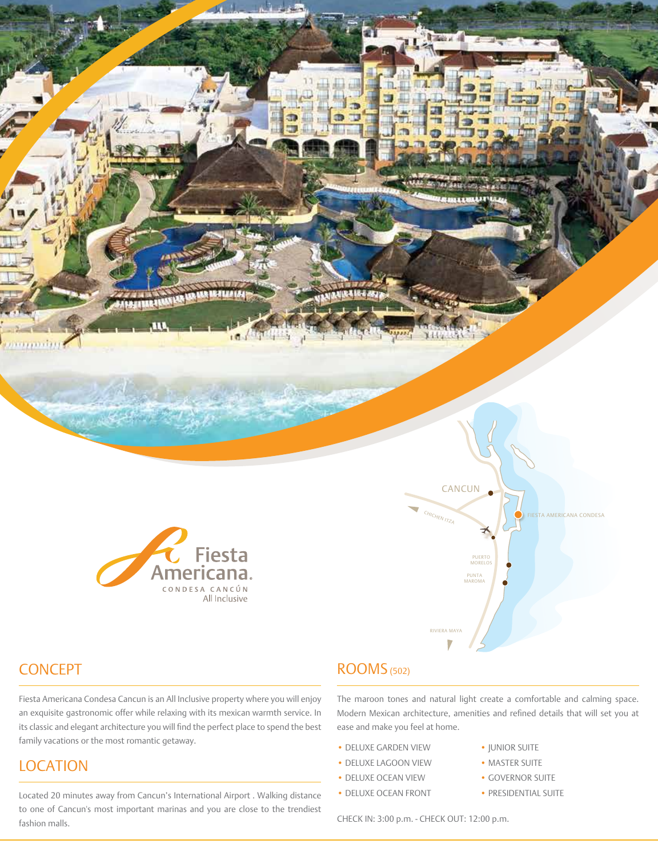



Fiesta Americana Condesa Cancun is an All Inclusive property where you will enjoy an exquisite gastronomic offer while relaxing with its mexican warmth service. In its classic and elegant architecture you will find the perfect place to spend the best

**CONCEPT** 

**LOCATION** 

family vacations or the most romantic getaway.

# ROOMS (502)

The maroon tones and natural light create a comfortable and calming space. Modern Mexican architecture, amenities and refined details that will set you at ease and make you feel at home.

MAROMA

RIVIERA MAYA

- DELUXE GARDEN VIEW JUNIOR SUITE
- DELUXE LAGOON VIEW MASTER SUITE
- DELUXE OCEAN VIEW GOVERNOR SUITE
- DELUXE OCEAN FRONT PRESIDENTIAL SUITE
- 
- 
- -

Located 20 minutes away from Cancun's International Airport . Walking distance to one of Cancun's most important marinas and you are close to the trendiest fashion malls.

CHECK IN: 3:00 p.m. - CHECK OUT: 12:00 p.m.

- 
- 
- 
-